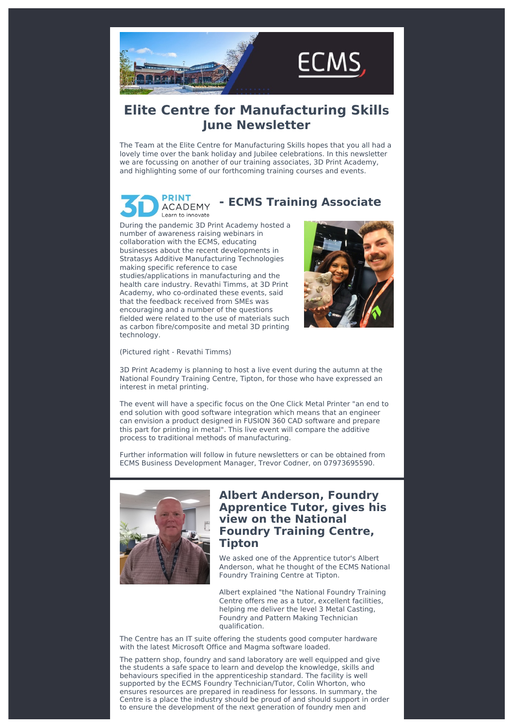

# **Elite Centre for Manufacturing Skills June Newsletter**

The Team at the Elite Centre for Manufacturing Skills hopes that you all had a lovely time over the bank holiday and Jubilee celebrations. In this newsletter we are focussing on another of our training associates, 3D Print Academy, and highlighting some of our forthcoming training courses and events.

#### **PRINT - ECMS Training Associate ACADEMY** Learn to innovate

During the pandemic 3D Print Academy hosted a number of awareness raising webinars in collaboration with the ECMS, educating businesses about the recent developments in Stratasys Additive Manufacturing Technologies making specific reference to case studies/applications in manufacturing and the health care industry. Revathi Timms, at 3D Print Academy, who co-ordinated these events, said that the feedback received from SMEs was encouraging and a number of the questions fielded were related to the use of materials such as carbon fibre/composite and metal 3D printing technology.



(Pictured right - Revathi Timms)

3D Print Academy is planning to host a live event during the autumn at the National Foundry Training Centre, Tipton, for those who have expressed an interest in metal printing.

The event will have a specific focus on the One Click Metal Printer "an end to end solution with good software integration which means that an engineer can envision a product designed in FUSION 360 CAD software and prepare this part for printing in metal". This live event will compare the additive process to traditional methods of manufacturing.

Further information will follow in future newsletters or can be obtained from ECMS Business Development Manager, Trevor Codner, on 07973695590.



## **Albert Anderson, Foundry Apprentice Tutor, gives his view on the National Foundry Training Centre, Tipton**

We asked one of the Apprentice tutor's Albert Anderson, what he thought of the ECMS National Foundry Training Centre at Tipton.

Albert explained "the National Foundry Training Centre offers me as a tutor, excellent facilities, helping me deliver the level 3 Metal Casting, Foundry and Pattern Making Technician qualification.

The Centre has an IT suite offering the students good computer hardware with the latest Microsoft Office and Magma software loaded.

The pattern shop, foundry and sand laboratory are well equipped and give the students a safe space to learn and develop the knowledge, skills and behaviours specified in the apprenticeship standard. The facility is well supported by the ECMS Foundry Technician/Tutor, Colin Whorton, who ensures resources are prepared in readiness for lessons. In summary, the Centre is a place the industry should be proud of and should support in order to ensure the development of the next generation of foundry men and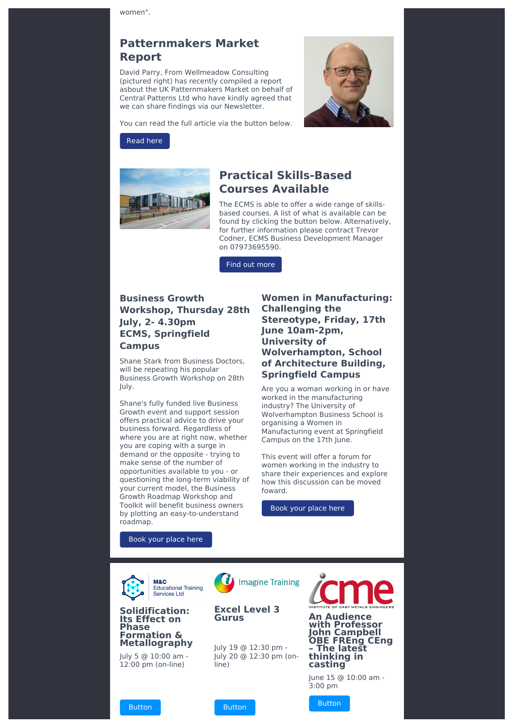women".

## **Patternmakers Market Report**

David Parry, From Wellmeadow Consulting (pictured right) has recently compiled a report asbout the UK Patternmakers Market on behalf of Central Patterns Ltd who have kindly agreed that we can share findings via our Newsletter.



You can read the full article via the button below.

### [Read](https://www.theecms.co.uk/patternmakers-market-update-2022/?utm_source=sendinblue&utm_campaign=ECMS%20June%20Newsletter&utm_medium=email) here



## **Practical Skills-Based Courses Available**

The ECMS is able to offer a wide range of skillsbased courses. A list of what is available can be found by clicking the button below. Alternatively, for further information please contract Trevor Codner, ECMS Business Development Manager on 07973695590.

Find out [more](https://www.theecms.co.uk/available-courses/?utm_source=sendinblue&utm_campaign=ECMS%20June%20Newsletter&utm_medium=email)

## **Business Growth Workshop, Thursday 28th July, 2- 4.30pm ECMS, Springfield Campus**

Shane Stark from Business Doctors, will be repeating his popular Business Growth Workshop on 28th July.

Shane's fully funded live Business Growth event and support session offers practical advice to drive your business forward. Regardless of where you are at right now, whether you are coping with a surge in demand or the opposite - trying to make sense of the number of opportunities available to you - or questioning the long-term viability of your current model, the Business Growth Roadmap Workshop and Toolkit will benefit business owners by plotting an easy-to-understand roadmap.

**Women in Manufacturing: Challenging the Stereotype, Friday, 17th June 10am-2pm, University of Wolverhampton, School of Architecture Building, Springfield Campus**

Are you a woman working in or have worked in the manufacturing industry? The University of Wolverhampton Business School is organising a Women in Manufacturing event at Springfield Campus on the 17th June.

This event will offer a forum for women working in the industry to share their experiences and explore how this discussion can be moved foward.

Book your [place](https://www.eventbrite.co.uk/e/women-in-manufacturing-challenging-the-stereotype-tickets-328077226817?aff=ebdsoporgprofile&utm_source=sendinblue&utm_campaign=ECMS%20June%20Newsletter&utm_medium=email) here

Book your [place](https://www.eventbrite.co.uk/e/the-business-growth-workshop-live-event-july-28th-tickets-358539590567?aff=ebdsoporgprofile&utm_source=sendinblue&utm_campaign=ECMS%20June%20Newsletter&utm_medium=email) here





July 5 @ 10:00 am - 12:00 pm (on-line)

[Button](https://www.theecms.co.uk/event/solidification-its-effect-on-phase-formation-metallography-2/?utm_source=sendinblue&utm_campaign=ECMS%20June%20Newsletter&utm_medium=email)





[Button](https://www.theecms.co.uk/event/excel-level-3-gurus-14/?utm_source=sendinblue&utm_campaign=ECMS%20June%20Newsletter&utm_medium=email)

July 19 @ 12:30 pm - July 20 @ 12:30 pm (online)



3:00 pm

[Button](https://www.theecms.co.uk/event/an-audience-with-professor-john-campbell-obe-freng-ceng-the-latest-thinking-in-casting/?utm_source=sendinblue&utm_campaign=ECMS%20June%20Newsletter&utm_medium=email)